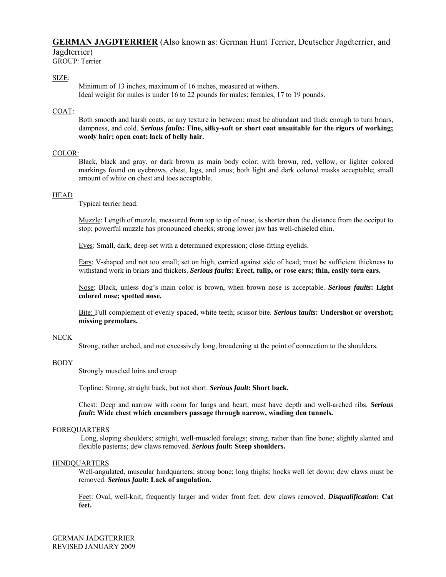# **GERMAN JAGDTERRIER** (Also known as: German Hunt Terrier, Deutscher Jagdterrier, and Jagdterrier)

GROUP: Terrier

## SIZE:

 Minimum of 13 inches, maximum of 16 inches, measured at withers. Ideal weight for males is under 16 to 22 pounds for males; females, 17 to 19 pounds.

## COAT:

Both smooth and harsh coats, or any texture in between; must be abundant and thick enough to turn briars, dampness, and cold. *Serious faults***: Fine, silky-soft or short coat unsuitable for the rigors of working; wooly hair; open coat; lack of belly hair.** 

#### COLOR:

Black, black and gray, or dark brown as main body color; with brown, red, yellow, or lighter colored markings found on eyebrows, chest, legs, and anus; both light and dark colored masks acceptable; small amount of white on chest and toes acceptable.

#### **HEAD**

Typical terrier head.

Muzzle: Length of muzzle, measured from top to tip of nose, is shorter than the distance from the occiput to stop; powerful muzzle has pronounced cheeks; strong lower jaw has well-chiseled chin.

Eyes: Small, dark, deep-set with a determined expression; close-fitting eyelids.

Ears: V-shaped and not too small; set on high, carried against side of head; must be sufficient thickness to withstand work in briars and thickets. *Serious faults***: Erect, tulip, or rose ears; thin, easily torn ears.** 

Nose: Black, unless dog's main color is brown, when brown nose is acceptable. *Serious faults***: Light colored nose; spotted nose.** 

Bite: Full complement of evenly spaced, white teeth; scissor bite. *Serious* **f***aults***: Undershot or overshot; missing premolars.** 

#### NECK

Strong, rather arched, and not excessively long, broadening at the point of connection to the shoulders.

#### BODY

Strongly muscled loins and croup

Topline: Strong, straight back, but not short. *Serious fault***: Short back.**

Chest: Deep and narrow with room for lungs and heart, must have depth and well-arched ribs. *Serious fault***: Wide chest which encumbers passage through narrow, winding den tunnels.** 

#### FOREQUARTERS

Long, sloping shoulders; straight, well-muscled forelegs; strong, rather than fine bone; slightly slanted and flexible pasterns; dew claws removed. *Serious fault***: Steep shoulders.** 

#### HINDQUARTERS

Well-angulated, muscular hindquarters; strong bone; long thighs; hocks well let down; dew claws must be removed. *Serious fault***: Lack of angulation.**

Feet: Oval, well-knit; frequently larger and wider front feet; dew claws removed. *Disqualification***: Cat feet.**